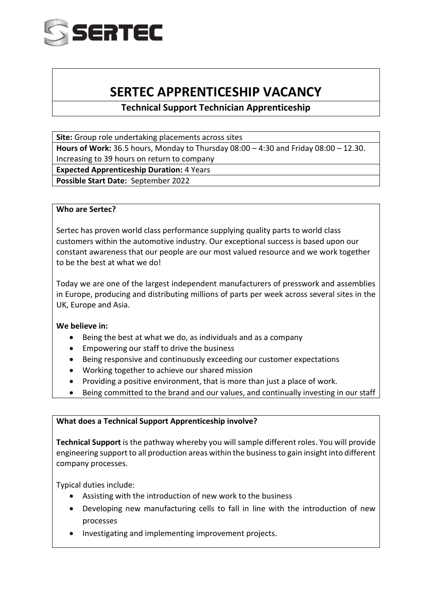

# **SERTEC APPRENTICESHIP VACANCY**

**Technical Support Technician Apprenticeship** 

**Site:** Group role undertaking placements across sites

**Hours of Work:** 36.5 hours, Monday to Thursday 08:00 – 4:30 and Friday 08:00 – 12.30. Increasing to 39 hours on return to company

**Expected Apprenticeship Duration:** 4 Years

**Possible Start Date:** September 2022

# **Who are Sertec?**

Sertec has proven world class performance supplying quality parts to world class customers within the automotive industry. Our exceptional success is based upon our constant awareness that our people are our most valued resource and we work together to be the best at what we do!

Today we are one of the largest independent manufacturers of presswork and assemblies in Europe, producing and distributing millions of parts per week across several sites in the UK, Europe and Asia.

# **We believe in:**

- Being the best at what we do, as individuals and as a company
- Empowering our staff to drive the business
- Being responsive and continuously exceeding our customer expectations
- Working together to achieve our shared mission
- Providing a positive environment, that is more than just a place of work.
- Being committed to the brand and our values, and continually investing in our staff

# **What does a Technical Support Apprenticeship involve?**

**Technical Support** is the pathway whereby you will sample different roles. You will provide engineering support to all production areas within the business to gain insight into different company processes.

Typical duties include:

- Assisting with the introduction of new work to the business
- Developing new manufacturing cells to fall in line with the introduction of new processes
- Investigating and implementing improvement projects.